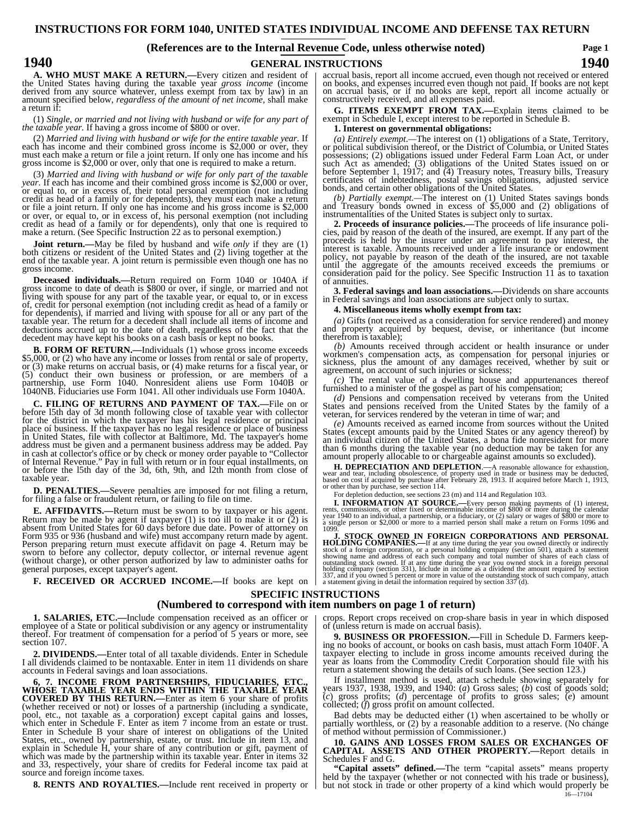## **INSTRUCTIONS FOR FORM 1040, UNITED STATES INDIVIDUAL INCOME AND DEFENSE TAX RETURN**

### **(References are to the Internal Revenue Code, unless otherwise noted)**

**Page 1**

## **1940 1940 GENERAL INSTRUCTIONS**

**A. WHO MUST MAKE A RETURN.—**Every citizen and resident of the United States having during the taxable year *gross income* (income amount specified below, *regardless of the amount of net income*, shall make a return if:

(1) *Single, or married and not living with husband or wife for any part of the taxable year.* If having a gross income of \$800 or over.

(2) *Married and living with husband or wife for the entire taxable year.* If each has income and their combined gross income is \$2,000 or over, they must each make a return or file a joint return. If only one has income and his gross income is \$2,000 or over, only that one is required to make a return.

(3) *Married and living with husband or wife for only part of the taxable*  (3) Married dual tourge with insistent of whe for only part of each has income and their combined gross income is \$2,000 or over, or equal to, or in excess of, their total personal exemption (not including credit as head credit as head of a family or for dependents), only that one is required to make a return. (See Specific Instruction 22 as to personal exemption.)

**Joint return.**—May be filed by husband and wife *only* if they are (1) both citizens or resident of the United States and (2) living together at the end of the taxable year. A joint return is permissible even though one h

**Deceased individuals.—**Return required on Form 1040 or 1040A if gross income to date of death is \$800 or over, if single, or married and not living with spouse for any part of the taxable year, or equal to, or in excess of, credit for personal exemption (not including credit as head of a family or<br>for dependents), if married and living with spouse for all or any part of the<br>taxable year. The return for a decedent shall include all items o deductions accrued up to the date of death, regardless of the fact that the decedent may have kept his books on a cash basis or kept no books.

**B. FORM OF RETURN.—**Individuals (1) whose gross income exceeds \$5,000, or (2) who have any income or losses from rental or sale of property, or (3) make returns on accrual basis, or (4) make returns for a fiscal year, or 1040NB. Fiduciaries use Form 1041. All other individuals use Form 1040A.

**C. FILING OF RETURNS AND PAYMENT OF TAX.—**File on or for the district in which the taxpayer has his legal residence or principal<br>place of business. If the taxpayer has no legal residence or place of business<br>in United States, file with collector at Baltimore, Md. The taxpaye address must be given and a permanent business address may be added. Pay in cash at collector's office or by check or money order payable to "Collector of Internal Revenue." Pay in full with return or in four equal installments, on or before the l5th day of the 3d, 6th, 9th, and l2th month from close of or before the 15th day of the 3d, 6th, 9th, and 12th month from close of taxable year.

**D. PENALTIES.**—Severe penalties are imposed for not filing a return, for filing a false or fraudulent return, or failing to file on time.

**E. AFFIDAVITS.—**Return must be sworn to by taxpayer or his agent. Return may be made by agent if taxpayer (1) is too ill to make it or (2) is absent from United States for 60 days before due date. Power of attorney on Form 935 or 936 (husband and wife) must accompany return made by agent.<br>Person preparing return must execute affidavit on page 4. Return may be<br>sworn to before any collector, deputy collector, or internal revenue agent<br>(wi general purposes, except taxpayer's agent.

**F. RECEIVED OR ACCRUED INCOME.—**If books are kept on

**SPECIFIC INSTRUCTIONS**

## **(Numbered to correspond with item numbers on page 1 of return)**

**1. SALARIES, ETC.**—Include compensation received as an officer or employee of a State or political subdivision or any agency or instrumentality thereof. For treatment of compensation for a period of 5 years or more, see s

**2. DIVIDENDS.—**Enter total of all taxable dividends. Enter in Schedule I all dividends claimed to be nontaxable. Enter in item 11 dividends on share accounts in Federal savings and loan associations.

**6, 7. INCOME FROM PARTNERSHIPS, FIDUCIARIES, ETC., WHOSE TAXABLE YEAR ENDS WITHIN THE TAXABLE YEAR COVERED BY THIS RETURN.**—Enter as item 6 your share of profits<br>(whether received or not) or losses of a partnership (including a syndicate,<br>pool, etc., not taxable as a corporation) except capital gains and losses,<br>which Enter in Schedule B your share of interest on obligations of the United States, etc., owned by partnership, estate, or trust. Include in item 13, and explain in Schedule H, your share of any contribution or gift, payment of which was made by the partnership within its taxable year. Enter in items 32 and 33, respectively, your share of credits for Federal income tax paid

**8. RENTS AND ROYALTIES.—**Include rent received in property or

accrual basis, report all income accrued, even though not received or entered<br>on books, and expenses incurred even though not paid. If books are not kept<br>on accrual basis, or if no books are kept, report all income actuall

**G. ITEMS EXEMPT FROM TAX.—**Explain items claimed to be exempt in Schedule I, except interest to be reported in Schedule B.

## **1. Interest on governmental obligations:**

(a) Entirely exempt.—The interest on (1) obligations of a State, Territory, or political subdivision thereof, or the District of Columbia, or United States possessions; (2) obligations issued under Federal Farm Loan Act, o such Act as amended; (3) obligations of the United States issued on or<br>before September 1, 1917; and (4) Treasury notes, Treasury bills, Treasury<br>certificates of indebtedness, postal savings obligations, adjusted service<br>b

*(b) Partially exempt.—*The interest on (1) United States savings bonds and Treasury bonds owned in excess of \$5,000 and (2) obligations of

instrumentalities of the United States is subject only to surtax.<br> **2. Proceeds of insurance policies.**—The proceeds of life insurance policies, paid by reason of the death of the insured, are exempt. If any part of the proceeds is held by the insurer under an agreement to pay interest, the interest is taxable. Amounts received under a life insurance or endowment policy, not payable by reason of the death of the insured, are not taxable until the aggregate of the amounts received exceeds the premiums or consideration paid for the policy. See Specific Instruction 11 as to taxation consideration paid for the policy. See Specific Instruction 11 as to taxation of annuities.

**3. Federal savings and loan associations.—**Dividends on share accounts in Federal savings and loan associations are subject only to surtax.

**4. Miscellaneous items wholly exempt from tax:**

*(a)* Gifts (not received as a consideration for service rendered) and money and property acquired by bequest, devise, or inheritance (but income therefrom is taxable);

*(b)* Amounts received through accident or health insurance or under workmen's compensation acts, as compensation for personal injuries or sickness, plus the amount of any damages received, whether by suit or agreement, on account of such injuries or sickness;

 $(c)$  The rental value of a dwelling house and appurtenances thereof furnished to a minister of the gospel as part of his compensation;

*(d)* Pensions and compensation received by veterans from the United States and pensions received from the United States by the family of a veteran, for services rendered by the veteran in time of war; and

*(e)* Amounts received as earned income from sources without the United States (except amounts paid by the United States or any agency thereof) by an individual citizen of the United States, a bona fide nonresident for more than 6 months during the taxable year (no deduction may be taken for any amount properly allocable to or chargeable against amounts so excluded).

**H. DEPRECIATION AND DEPLETION**.—A reasonable allowance for exhaustion, **Example 12 CONTROLLATE CONTROLLATE CONTROLLATE CONTROLLATE CONTRACT AND SOLUTION CONTROLLATE CONTROLLATE CONTROLLATE CONTROLLATE CONTROLLATE CONTROLLATE CONTROLLATE CONTROLLATE CONTROLLATE CONTROLLATE CONTROLLATE CONTROLL** 

For depletion deduction, see sections 23 (m) and 114 and Regulation 103.

**I. INFORMATION AT SOURCE.**—Every person making payments of (1) interest, commissions, or other fixed or determinable income of \$800 or more during the calendar 1940 to an individual, a partnership, or a fiduciary, or (2)

**J. STOCK OWNED IN FOREIGN CORPORATIONS AND PERSONAL**<br>HOLDING COMPANIES.—If at any time during the year you owned directly or indicercly<br>stock of a foreign corporation, or a personal holding company (section 501), attach

# crops. Report crops received on crop-share basis in year in which disposed of (unless return is made on accrual basis).

**9. BUSINESS OR PROFESSION.**—Fill in Schedule D. Farmers keeping no books of account, or books on cash basis, must attach Form 1040F. A taxpayer electing to include in gross income amounts received during the year as loans from the Commodity Credit Corporation should file with his return a statement showing the details of such loans. (See section 123.)

If installment method is used, attach schedule showing separately for<br>years 1937, 1938, 1939, and 1940: (*a*) Gross sales; (*b*) cost of goods sold;<br>(*c*) gross profits; (*d*) percentage of profits to gross sales; (*e*) a collected; (*f*) gross profit on amount collected.

Bad debts may be deducted either (1) when ascertained to be wholly or partially worthless, or (2) by a reasonable addition to a reserve. (No change of method without permission of Commissioner.)

**10. GAINS AND LOSSES FROM SALES OR EXCHANGES OF CAPITAL ASSETS AND OTHER PROPERTY.—**Report details in Schedules F and G.

**"Capital assets" defined.—**The term "capital assets" means property held by the taxpayer (whether or not connected with his trade or business), but not stock in trade or other property of a kind which would properly be  $\frac{16}{16-17104}$